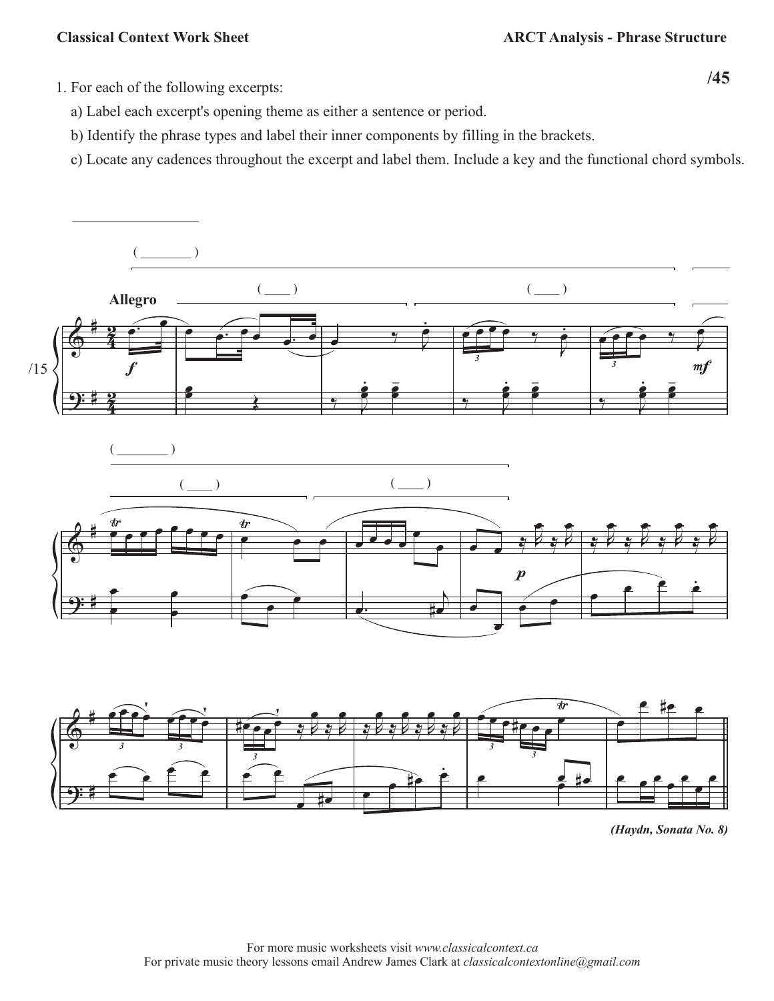$\overline{\phantom{a}}$  , where  $\overline{\phantom{a}}$ 

**/45** 1. For each of the following excerpts:

- a) Label each excerpt's opening theme as either a sentence or period.
- b) Identify the phrase types and label their inner components by filling in the brackets.
- c) Locate any cadences throughout the excerpt and label them. Include a key and the functional chord symbols.



*(Haydn, Sonata No. 8)*